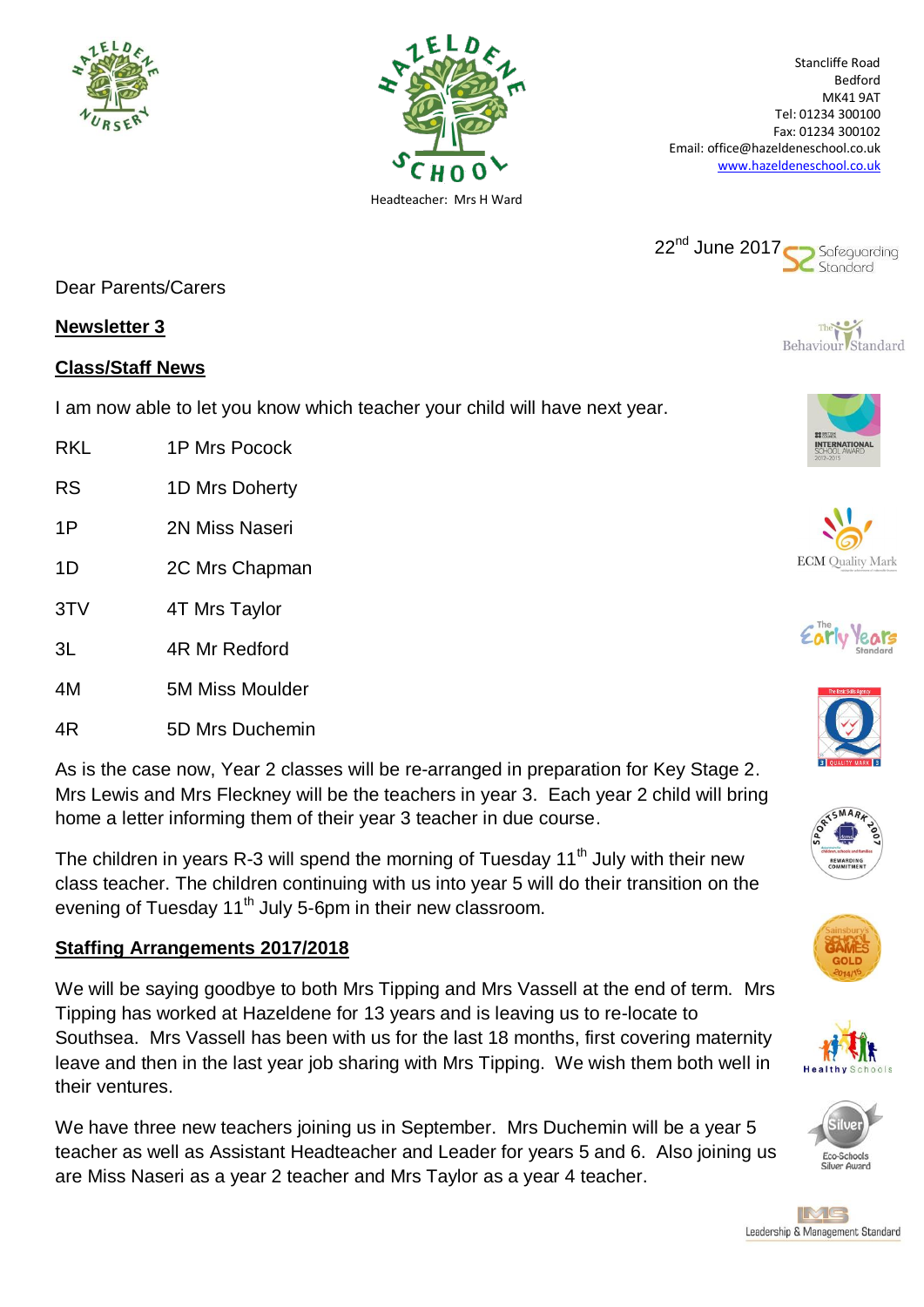



Stancliffe Road Bedford MK41 9AT Tel: 01234 300100 Fax: 01234 300102 Email: office@hazeldeneschool.co.uk [www.hazeldeneschool.co.uk](http://www.hazeldeneschool.co.uk/)



Dear Parents/Carers

### **Newsletter 3**

### **Class/Staff News**

I am now able to let you know which teacher your child will have next year.

- RKL 1P Mrs Pocock
- RS 1D Mrs Doherty
- 1P 2N Miss Naseri
- 1D 2C Mrs Chapman
- 3TV 4T Mrs Taylor
- 3L 4R Mr Redford
- 4M 5M Miss Moulder
- 4R 5D Mrs Duchemin

As is the case now, Year 2 classes will be re-arranged in preparation for Key Stage 2. Mrs Lewis and Mrs Fleckney will be the teachers in year 3. Each year 2 child will bring home a letter informing them of their year 3 teacher in due course.

The children in years R-3 will spend the morning of Tuesday  $11<sup>th</sup>$  July with their new class teacher. The children continuing with us into year 5 will do their transition on the evening of Tuesday 11<sup>th</sup> July 5-6pm in their new classroom.

## **Staffing Arrangements 2017/2018**

We will be saying goodbye to both Mrs Tipping and Mrs Vassell at the end of term. Mrs Tipping has worked at Hazeldene for 13 years and is leaving us to re-locate to Southsea. Mrs Vassell has been with us for the last 18 months, first covering maternity leave and then in the last year job sharing with Mrs Tipping. We wish them both well in their ventures.

We have three new teachers joining us in September. Mrs Duchemin will be a year 5 teacher as well as Assistant Headteacher and Leader for years 5 and 6. Also joining us are Miss Naseri as a year 2 teacher and Mrs Taylor as a year 4 teacher.



Behaviour Standard













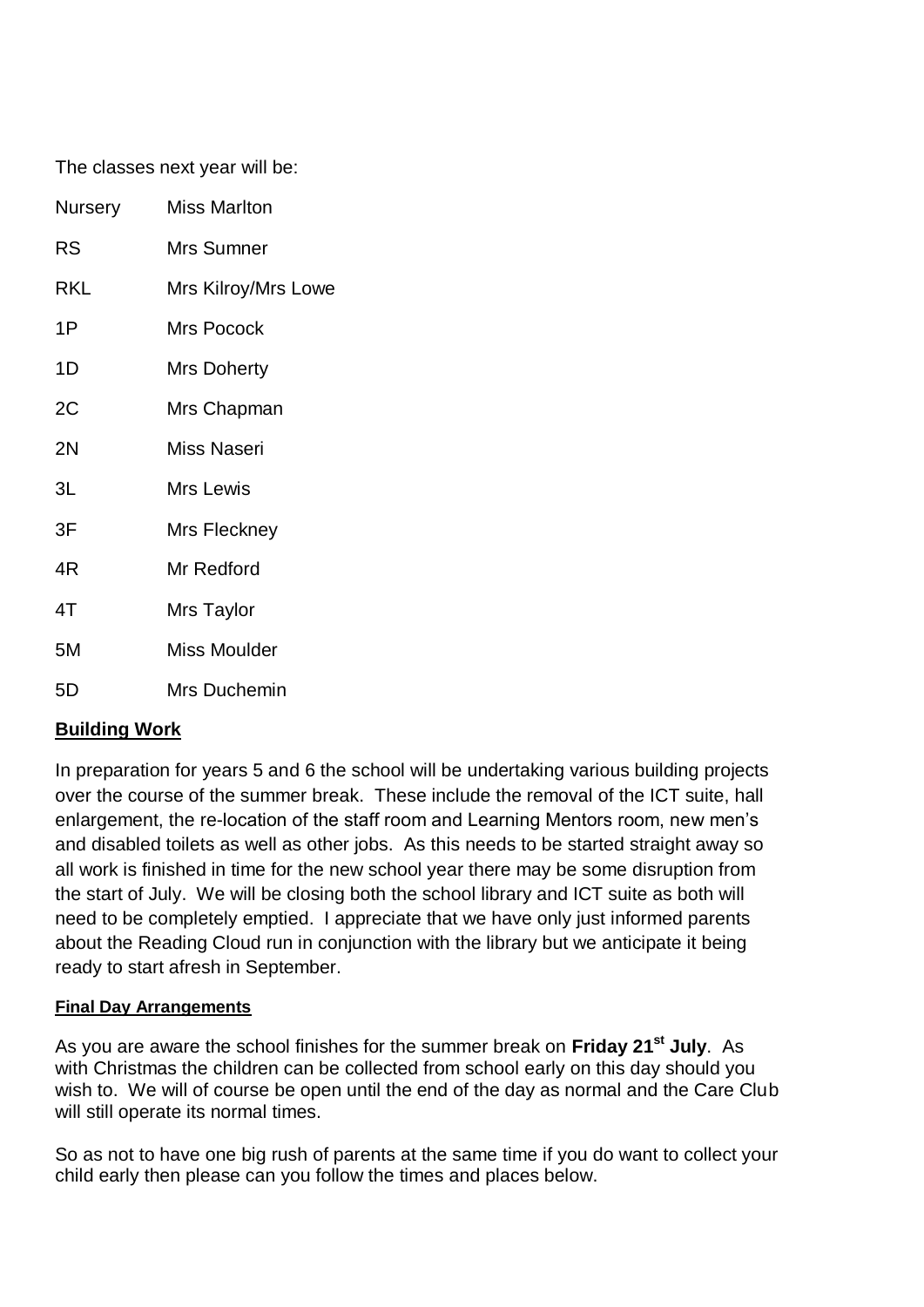The classes next year will be:

| Nursery    | <b>Miss Marlton</b> |
|------------|---------------------|
| <b>RS</b>  | <b>Mrs Sumner</b>   |
| <b>RKL</b> | Mrs Kilroy/Mrs Lowe |
| 1P         | <b>Mrs Pocock</b>   |
| 1D         | <b>Mrs Doherty</b>  |
| 2C         | Mrs Chapman         |
| 2N         | <b>Miss Naseri</b>  |
| 3L         | Mrs Lewis           |
| 3F         | Mrs Fleckney        |
| 4R         | Mr Redford          |
| 4T         | Mrs Taylor          |
| 5M         | <b>Miss Moulder</b> |
| 5D         | Mrs Duchemin        |

## **Building Work**

In preparation for years 5 and 6 the school will be undertaking various building projects over the course of the summer break. These include the removal of the ICT suite, hall enlargement, the re-location of the staff room and Learning Mentors room, new men's and disabled toilets as well as other jobs. As this needs to be started straight away so all work is finished in time for the new school year there may be some disruption from the start of July. We will be closing both the school library and ICT suite as both will need to be completely emptied. I appreciate that we have only just informed parents about the Reading Cloud run in conjunction with the library but we anticipate it being ready to start afresh in September.

## **Final Day Arrangements**

As you are aware the school finishes for the summer break on **Friday 21 st July**. As with Christmas the children can be collected from school early on this day should you wish to. We will of course be open until the end of the day as normal and the Care Club will still operate its normal times.

So as not to have one big rush of parents at the same time if you do want to collect your child early then please can you follow the times and places below.